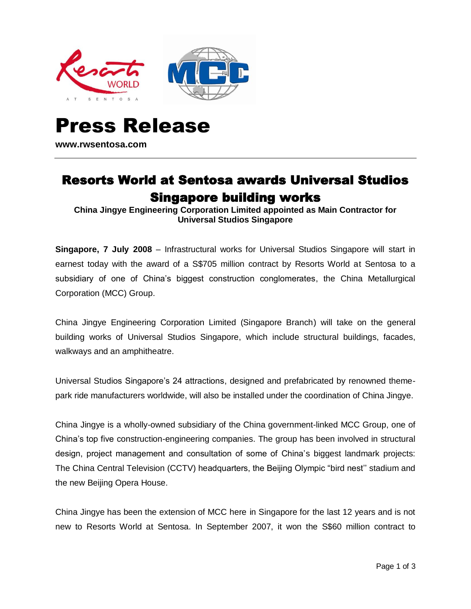



# Press Release **www.rwsentosa.com**

## Resorts World at Sentosa awards Universal Studios Singapore building works

**China Jingye Engineering Corporation Limited appointed as Main Contractor for Universal Studios Singapore**

**Singapore, 7 July 2008** – Infrastructural works for Universal Studios Singapore will start in earnest today with the award of a S\$705 million contract by Resorts World at Sentosa to a subsidiary of one of China's biggest construction conglomerates, the China Metallurgical Corporation (MCC) Group.

China Jingye Engineering Corporation Limited (Singapore Branch) will take on the general building works of Universal Studios Singapore, which include structural buildings, facades, walkways and an amphitheatre.

Universal Studios Singapore's 24 attractions, designed and prefabricated by renowned themepark ride manufacturers worldwide, will also be installed under the coordination of China Jingye.

China Jingye is a wholly-owned subsidiary of the China government-linked MCC Group, one of China's top five construction-engineering companies. The group has been involved in structural design, project management and consultation of some of China's biggest landmark projects: The China Central Television (CCTV) headquarters, the Beijing Olympic "bird nest'' stadium and the new Beijing Opera House.

China Jingye has been the extension of MCC here in Singapore for the last 12 years and is not new to Resorts World at Sentosa. In September 2007, it won the S\$60 million contract to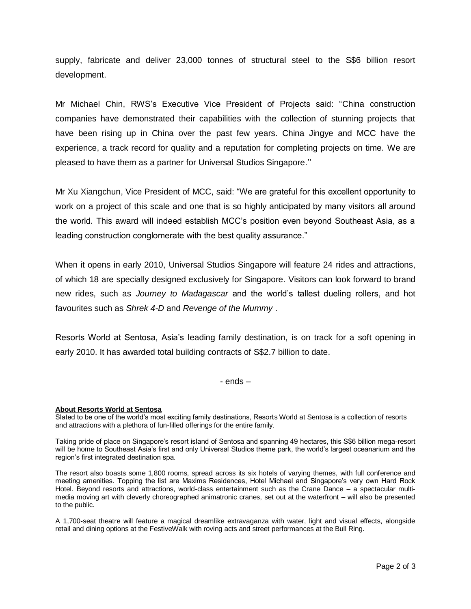supply, fabricate and deliver 23,000 tonnes of structural steel to the S\$6 billion resort development.

Mr Michael Chin, RWS's Executive Vice President of Projects said: "China construction companies have demonstrated their capabilities with the collection of stunning projects that have been rising up in China over the past few years. China Jingye and MCC have the experience, a track record for quality and a reputation for completing projects on time. We are pleased to have them as a partner for Universal Studios Singapore.''

Mr Xu Xiangchun, Vice President of MCC, said: "We are grateful for this excellent opportunity to work on a project of this scale and one that is so highly anticipated by many visitors all around the world. This award will indeed establish MCC's position even beyond Southeast Asia, as a leading construction conglomerate with the best quality assurance."

When it opens in early 2010, Universal Studios Singapore will feature 24 rides and attractions, of which 18 are specially designed exclusively for Singapore. Visitors can look forward to brand new rides, such as *Journey to Madagascar* and the world's tallest dueling rollers, and hot favourites such as *Shrek 4-D* and *Revenge of the Mummy* .

Resorts World at Sentosa, Asia's leading family destination, is on track for a soft opening in early 2010. It has awarded total building contracts of S\$2.7 billion to date.

- ends –

### **About Resorts World at Sentosa**

Slated to be one of the world's most exciting family destinations, Resorts World at Sentosa is a collection of resorts and attractions with a plethora of fun-filled offerings for the entire family.

Taking pride of place on Singapore's resort island of Sentosa and spanning 49 hectares, this S\$6 billion mega-resort will be home to Southeast Asia's first and only Universal Studios theme park, the world's largest oceanarium and the region's first integrated destination spa.

The resort also boasts some 1,800 rooms, spread across its six hotels of varying themes, with full conference and meeting amenities. Topping the list are Maxims Residences, Hotel Michael and Singapore's very own Hard Rock Hotel. Beyond resorts and attractions, world-class entertainment such as the Crane Dance – a spectacular multimedia moving art with cleverly choreographed animatronic cranes, set out at the waterfront – will also be presented to the public.

A 1,700-seat theatre will feature a magical dreamlike extravaganza with water, light and visual effects, alongside retail and dining options at the FestiveWalk with roving acts and street performances at the Bull Ring.